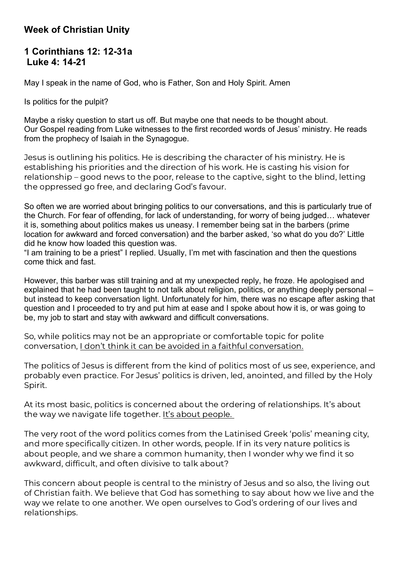## **Week of Christian Unity**

## **1 Corinthians 12: 12-31a Luke 4: 14-21**

May I speak in the name of God, who is Father, Son and Holy Spirit. Amen

Is politics for the pulpit?

Maybe a risky question to start us off. But maybe one that needs to be thought about. Our Gospel reading from Luke witnesses to the first recorded words of Jesus' ministry. He reads from the prophecy of Isaiah in the Synagogue.

Jesus is outlining his politics. He is describing the character of his ministry. He is establishing his priorities and the direction of his work. He is casting his vision for relationship – good news to the poor, release to the captive, sight to the blind, letting the oppressed go free, and declaring God's favour.

So often we are worried about bringing politics to our conversations, and this is particularly true of the Church. For fear of offending, for lack of understanding, for worry of being judged… whatever it is, something about politics makes us uneasy. I remember being sat in the barbers (prime location for awkward and forced conversation) and the barber asked, 'so what do you do?' Little did he know how loaded this question was.

"I am training to be a priest" I replied. Usually, I'm met with fascination and then the questions come thick and fast.

However, this barber was still training and at my unexpected reply, he froze. He apologised and explained that he had been taught to not talk about religion, politics, or anything deeply personal – but instead to keep conversation light. Unfortunately for him, there was no escape after asking that question and I proceeded to try and put him at ease and I spoke about how it is, or was going to be, my job to start and stay with awkward and difficult conversations.

So, while politics may not be an appropriate or comfortable topic for polite conversation, I don't think it can be avoided in a faithful conversation.

The politics of Jesus is different from the kind of politics most of us see, experience, and probably even practice. For Jesus' politics is driven, led, anointed, and filled by the Holy Spirit.

At its most basic, politics is concerned about the ordering of relationships. It's about the way we navigate life together. It's about people.

The very root of the word politics comes from the Latinised Greek 'polis' meaning city, and more specifically citizen. In other words, people. If in its very nature politics is about people, and we share a common humanity, then I wonder why we find it so awkward, difficult, and often divisive to talk about?

This concern about people is central to the ministry of Jesus and so also, the living out of Christian faith. We believe that God has something to say about how we live and the way we relate to one another. We open ourselves to God's ordering of our lives and relationships.